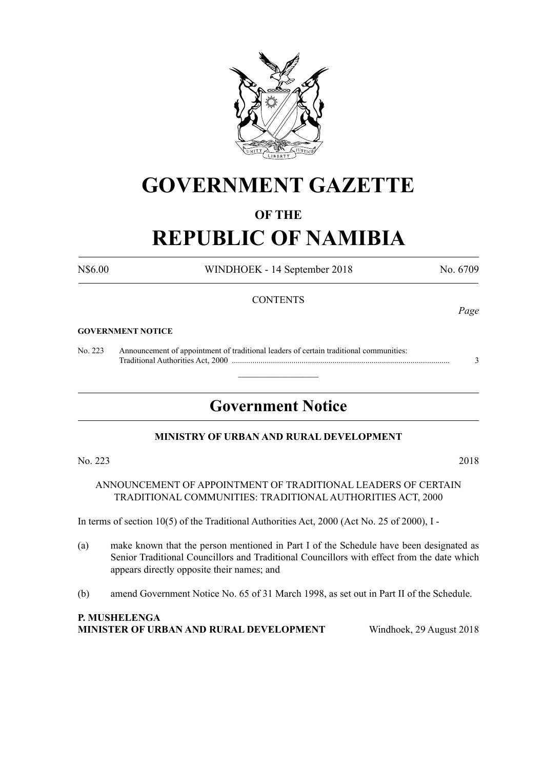

## **GOVERNMENT GAZETTE**

### **OF THE**

# **REPUBLIC OF NAMIBIA**

N\$6.00 WINDHOEK - 14 September 2018 No. 6709

#### **CONTENTS**

#### **GOVERNMENT NOTICE**

No. 223 Announcement of appointment of traditional leaders of certain traditional communities: Traditional Authorities Act, 2000 .......................................................................................................... 3

### **Government Notice**

 $\overline{\phantom{a}}$  , where  $\overline{\phantom{a}}$ 

#### **MINISTRY OF URBAN AND RURAL DEVELOPMENT**

No. 223 2018

ANNOUNCEMENT OF APPOINTMENT OF TRADITIONAL LEADERS OF CERTAIN TRADITIONAL COMMUNITIES: TRADITIONAL AUTHORITIES ACT, 2000

In terms of section 10(5) of the Traditional Authorities Act, 2000 (Act No. 25 of 2000), I -

- (a) make known that the person mentioned in Part I of the Schedule have been designated as Senior Traditional Councillors and Traditional Councillors with effect from the date which appears directly opposite their names; and
- (b) amend Government Notice No. 65 of 31 March 1998, as set out in Part II of the Schedule.

**P. MUSHELENGA MINISTER OF URBAN AND RURAL DEVELOPMENT** Windhoek, 29 August 2018

*Page*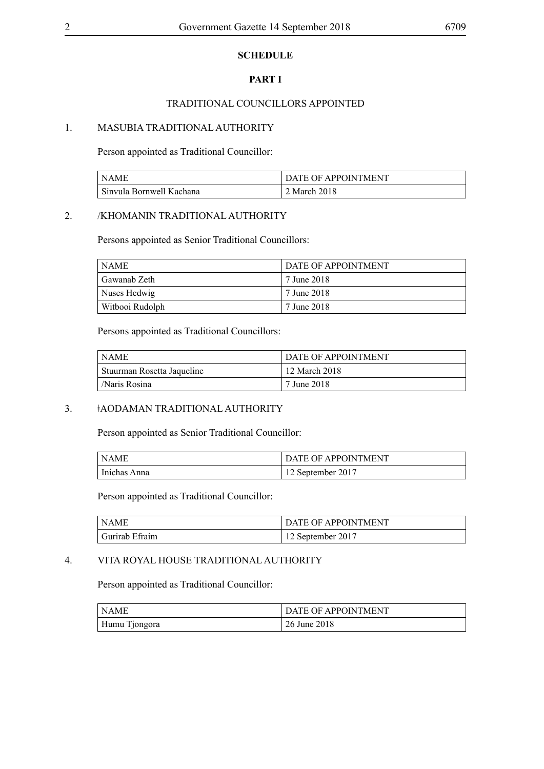#### **SCHEDULE**

#### **PART I**

#### TRADITIONAL COUNCILLORS APPOINTED

#### 1. MASUBIA TRADITIONAL AUTHORITY

Person appointed as Traditional Councillor:

| <b>NAME</b>              | DATE OF APPOINTMENT |
|--------------------------|---------------------|
| Sinvula Bornwell Kachana | 2 March 2018        |

#### 2. /KHOMANIN TRADITIONAL AUTHORITY

Persons appointed as Senior Traditional Councillors:

| ' NAME          | <b>DATE OF APPOINTMENT</b> |
|-----------------|----------------------------|
| ' Gawanab Zeth  | <sup>1</sup> 7 June 2018   |
| Nuses Hedwig    | 7 June 2018                |
| Witbooi Rudolph | 7 June 2018                |

Persons appointed as Traditional Councillors:

| l NAME                     | <b>DATE OF APPOINTMENT</b> |
|----------------------------|----------------------------|
| Stuurman Rosetta Jaqueline | 12 March 2018              |
| /Naris Rosina              | 7 June 2018                |

#### 3. ǂAODAMAN TRADITIONAL AUTHORITY

Person appointed as Senior Traditional Councillor:

| NAME                      | DATE OF APPOINTMENT |
|---------------------------|---------------------|
| <sup>1</sup> Inichas Anna | 12 September 2017   |

Person appointed as Traditional Councillor:

| NAME                        | <b>DATE OF APPOINTMENT</b> |
|-----------------------------|----------------------------|
| <sup>t</sup> Gurirab Efraim | 12 September 2017          |

#### 4. VITA ROYAL HOUSE TRADITIONAL AUTHORITY

Person appointed as Traditional Councillor:

| <sup>1</sup> NAME | DATE OF APPOINTMENT |
|-------------------|---------------------|
| Humu Tjongora     | 26 June 2018        |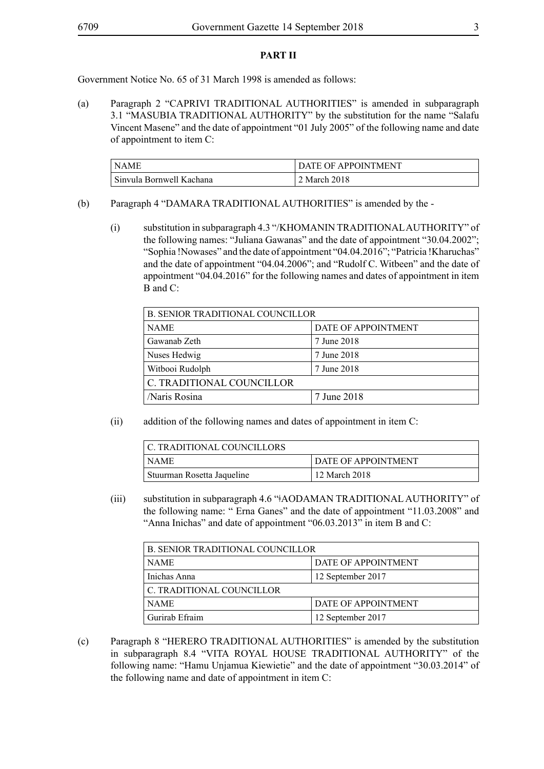#### **PART II**

Government Notice No. 65 of 31 March 1998 is amended as follows:

(a) Paragraph 2 "CAPRIVI TRADITIONAL AUTHORITIES" is amended in subparagraph 3.1 "MASUBIA TRADITIONAL AUTHORITY" by the substitution for the name "Salafu Vincent Masene" and the date of appointment "01 July 2005" of the following name and date of appointment to item C:

| l NAME                   | DATE OF APPOINTMENT |
|--------------------------|---------------------|
| Sinvula Bornwell Kachana | 2 March 2018        |

- (b) Paragraph 4 "DAMARA TRADITIONAL AUTHORITIES" is amended by the
	- (i) substitution in subparagraph 4.3 "/KHOMANIN TRADITIONAL AUTHORITY" of the following names: "Juliana Gawanas" and the date of appointment "30.04.2002"; "Sophia !Nowases" and the date of appointment "04.04.2016"; "Patricia !Kharuchas" and the date of appointment "04.04.2006"; and "Rudolf C. Witbeen" and the date of appointment "04.04.2016" for the following names and dates of appointment in item B and C:

| <b>B. SENIOR TRADITIONAL COUNCILLOR</b> |                     |
|-----------------------------------------|---------------------|
| <b>NAME</b>                             | DATE OF APPOINTMENT |
| Gawanab Zeth                            | 7 June 2018         |
| Nuses Hedwig                            | 7 June 2018         |
| Witbooi Rudolph                         | 7 June 2018         |
| C. TRADITIONAL COUNCILLOR               |                     |
| /Naris Rosina                           | 7 June 2018         |

(ii) addition of the following names and dates of appointment in item C:

| C. TRADITIONAL COUNCILLORS |                            |
|----------------------------|----------------------------|
| NAME                       | <b>DATE OF APPOINTMENT</b> |
| Stuurman Rosetta Jaqueline | 12 March 2018              |

(iii) substitution in subparagraph 4.6 "ǂAODAMAN TRADITIONAL AUTHORITY" of the following name: " Erna Ganes" and the date of appointment "11.03.2008" and "Anna Inichas" and date of appointment "06.03.2013" in item B and C:

| <b>B. SENIOR TRADITIONAL COUNCILLOR</b> |                     |
|-----------------------------------------|---------------------|
| <b>NAME</b>                             | DATE OF APPOINTMENT |
| Inichas Anna                            | 12 September 2017   |
| C. TRADITIONAL COUNCILLOR               |                     |
| <b>NAME</b>                             | DATE OF APPOINTMENT |
| Gurirab Efraim                          | 12 September 2017   |

(c) Paragraph 8 "HERERO TRADITIONAL AUTHORITIES" is amended by the substitution in subparagraph 8.4 "VITA ROYAL HOUSE TRADITIONAL AUTHORITY" of the following name: "Hamu Unjamua Kiewietie" and the date of appointment "30.03.2014" of the following name and date of appointment in item C: